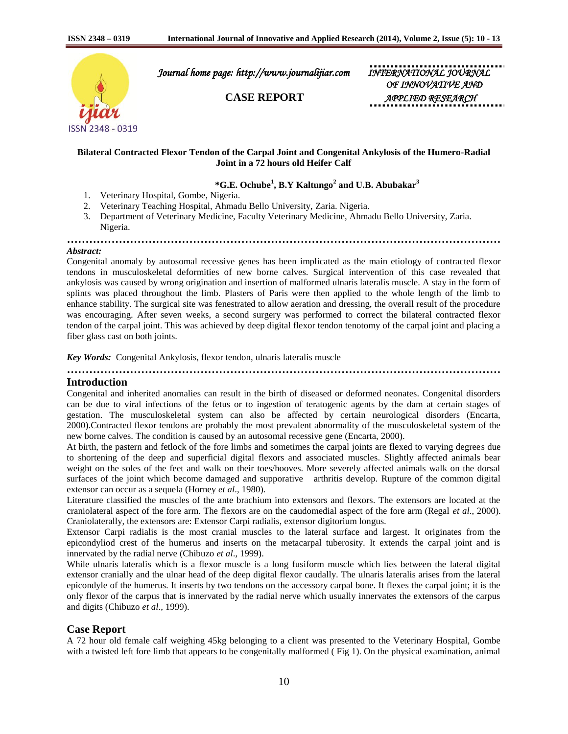

 *Journal home page: http://www.journalijiar.com INTERNATIONAL JOURNAL* 

*OF INNOVATIVE AND* **CASE REPORT APPLIED RESEAR** 

### **Bilateral Contracted Flexor Tendon of the Carpal Joint and Congenital Ankylosis of the Humero-Radial Joint in a 72 hours old Heifer Calf**

## **\*G.E. Ochube<sup>1</sup> , B.Y Kaltungo<sup>2</sup> and U.B. Abubakar<sup>3</sup>**

- 1. Veterinary Hospital, Gombe, Nigeria.
- 2. Veterinary Teaching Hospital, Ahmadu Bello University, Zaria. Nigeria.
- 3. Department of Veterinary Medicine, Faculty Veterinary Medicine, Ahmadu Bello University, Zaria. Nigeria.

#### **………………………………………………………………………………………………………** *Abstract:*

Congenital anomaly by autosomal recessive genes has been implicated as the main etiology of contracted flexor tendons in musculoskeletal deformities of new borne calves. Surgical intervention of this case revealed that ankylosis was caused by wrong origination and insertion of malformed ulnaris lateralis muscle. A stay in the form of splints was placed throughout the limb. Plasters of Paris were then applied to the whole length of the limb to enhance stability. The surgical site was fenestrated to allow aeration and dressing, the overall result of the procedure was encouraging. After seven weeks, a second surgery was performed to correct the bilateral contracted flexor tendon of the carpal joint. This was achieved by deep digital flexor tendon tenotomy of the carpal joint and placing a fiber glass cast on both joints.

*Key Words:* Congenital Ankylosis, flexor tendon, ulnaris lateralis muscle

**………………………………………………………………………………………………………**

# **Introduction**

Congenital and inherited anomalies can result in the birth of diseased or deformed neonates. Congenital disorders can be due to viral infections of the fetus or to ingestion of teratogenic agents by the dam at certain stages of gestation. The musculoskeletal system can also be affected by certain neurological disorders (Encarta, 2000).Contracted flexor tendons are probably the most prevalent abnormality of the musculoskeletal system of the new borne calves. The condition is caused by an autosomal recessive gene (Encarta, 2000).

At birth, the pastern and fetlock of the fore limbs and sometimes the carpal joints are flexed to varying degrees due to shortening of the deep and superficial digital flexors and associated muscles. Slightly affected animals bear weight on the soles of the feet and walk on their toes/hooves. More severely affected animals walk on the dorsal surfaces of the joint which become damaged and supporative arthritis develop. Rupture of the common digital extensor can occur as a sequela (Horney *et al*., 1980).

Literature classified the muscles of the ante brachium into extensors and flexors. The extensors are located at the craniolateral aspect of the fore arm. The flexors are on the caudomedial aspect of the fore arm (Regal *et al*., 2000). Craniolaterally, the extensors are: Extensor Carpi radialis, extensor digitorium longus.

Extensor Carpi radialis is the most cranial muscles to the lateral surface and largest. It originates from the epicondyliod crest of the humerus and inserts on the metacarpal tuberosity. It extends the carpal joint and is innervated by the radial nerve (Chibuzo *et al*., 1999).

While ulnaris lateralis which is a flexor muscle is a long fusiform muscle which lies between the lateral digital extensor cranially and the ulnar head of the deep digital flexor caudally. The ulnaris lateralis arises from the lateral epicondyle of the humerus. It inserts by two tendons on the accessory carpal bone. It flexes the carpal joint; it is the only flexor of the carpus that is innervated by the radial nerve which usually innervates the extensors of the carpus and digits (Chibuzo *et al*., 1999).

## **Case Report**

A 72 hour old female calf weighing 45kg belonging to a client was presented to the Veterinary Hospital, Gombe with a twisted left fore limb that appears to be congenitally malformed (Fig 1). On the physical examination, animal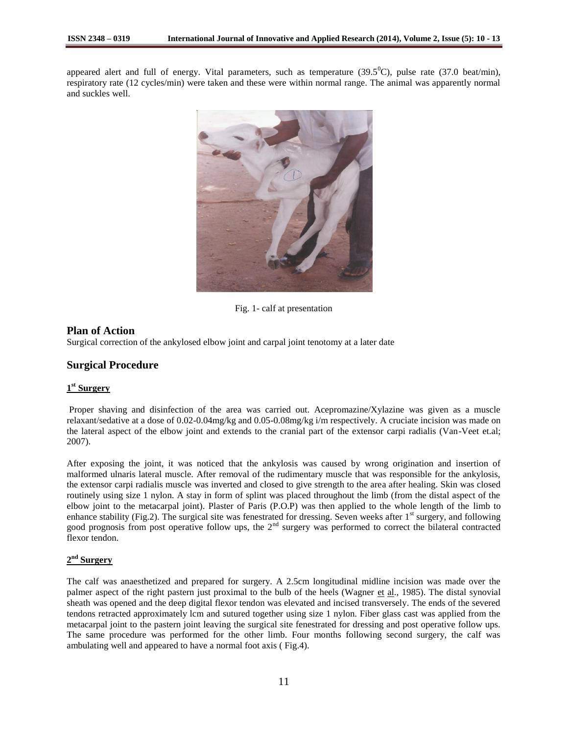appeared alert and full of energy. Vital parameters, such as temperature  $(39.5^{\circ}C)$ , pulse rate  $(37.0 \text{ beat/min})$ , respiratory rate (12 cycles/min) were taken and these were within normal range. The animal was apparently normal and suckles well.



Fig. 1- calf at presentation

## **Plan of Action**

Surgical correction of the ankylosed elbow joint and carpal joint tenotomy at a later date

### **Surgical Procedure**

## **1 st Surgery**

Proper shaving and disinfection of the area was carried out. Acepromazine/Xylazine was given as a muscle relaxant/sedative at a dose of 0.02-0.04mg/kg and 0.05-0.08mg/kg i/m respectively. A cruciate incision was made on the lateral aspect of the elbow joint and extends to the cranial part of the extensor carpi radialis (Van-Veet et.al; 2007).

After exposing the joint, it was noticed that the ankylosis was caused by wrong origination and insertion of malformed ulnaris lateral muscle. After removal of the rudimentary muscle that was responsible for the ankylosis, the extensor carpi radialis muscle was inverted and closed to give strength to the area after healing. Skin was closed routinely using size 1 nylon. A stay in form of splint was placed throughout the limb (from the distal aspect of the elbow joint to the metacarpal joint). Plaster of Paris (P.O.P) was then applied to the whole length of the limb to enhance stability (Fig.2). The surgical site was fenestrated for dressing. Seven weeks after  $1<sup>st</sup>$  surgery, and following good prognosis from post operative follow ups, the 2<sup>nd</sup> surgery was performed to correct the bilateral contracted flexor tendon.

## **2 nd Surgery**

The calf was anaesthetized and prepared for surgery. A 2.5cm longitudinal midline incision was made over the palmer aspect of the right pastern just proximal to the bulb of the heels (Wagner et al., 1985). The distal synovial sheath was opened and the deep digital flexor tendon was elevated and incised transversely. The ends of the severed tendons retracted approximately lcm and sutured together using size 1 nylon. Fiber glass cast was applied from the metacarpal joint to the pastern joint leaving the surgical site fenestrated for dressing and post operative follow ups. The same procedure was performed for the other limb. Four months following second surgery, the calf was ambulating well and appeared to have a normal foot axis ( Fig.4).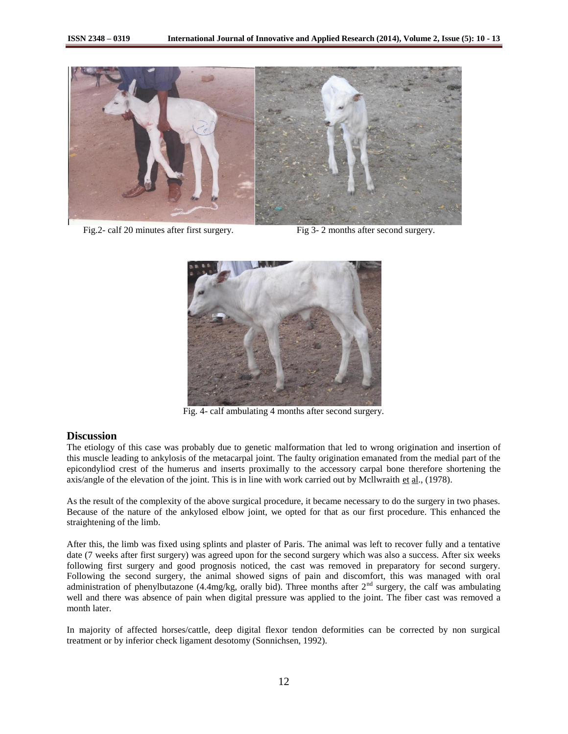

Fig. 2- calf 20 minutes after first surgery. Fig 3- 2 months after second surgery.



Fig. 4- calf ambulating 4 months after second surgery.

## **Discussion**

The etiology of this case was probably due to genetic malformation that led to wrong origination and insertion of this muscle leading to ankylosis of the metacarpal joint. The faulty origination emanated from the medial part of the epicondyliod crest of the humerus and inserts proximally to the accessory carpal bone therefore shortening the axis/angle of the elevation of the joint. This is in line with work carried out by Mcllwraith et  $\underline{al}$ , (1978).

As the result of the complexity of the above surgical procedure, it became necessary to do the surgery in two phases. Because of the nature of the ankylosed elbow joint, we opted for that as our first procedure. This enhanced the straightening of the limb.

After this, the limb was fixed using splints and plaster of Paris. The animal was left to recover fully and a tentative date (7 weeks after first surgery) was agreed upon for the second surgery which was also a success. After six weeks following first surgery and good prognosis noticed, the cast was removed in preparatory for second surgery. Following the second surgery, the animal showed signs of pain and discomfort, this was managed with oral administration of phenylbutazone (4.4mg/kg, orally bid). Three months after  $2<sup>nd</sup>$  surgery, the calf was ambulating well and there was absence of pain when digital pressure was applied to the joint. The fiber cast was removed a month later.

In majority of affected horses/cattle, deep digital flexor tendon deformities can be corrected by non surgical treatment or by inferior check ligament desotomy (Sonnichsen, 1992).